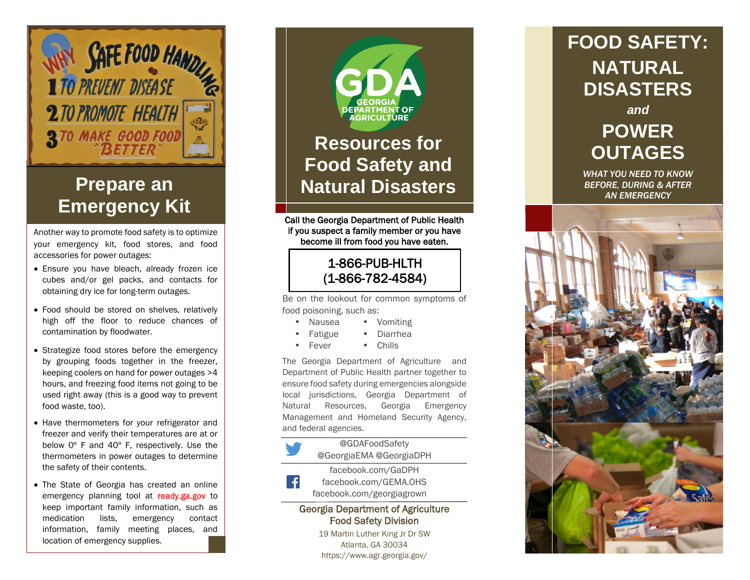

# **Emergency Kit**

Another way to promote food safety is to optimize your emergency kit, food stores, and food accessories for power outages:

- Ensure you have bleach, already frozen ice cubes and/or gel packs, and contacts for obtaining dry ice for long-term outages.
- Food should be stored on shelves, relatively high off the floor to reduce chances of contamination by floodwater.
- Strategize food stores before the emergency by grouping foods together in the freezer, keeping coolers on hand for power outages >4 hours, and freezing food items not going to be used right away (this is a good way to prevent food waste , too).
- Have thermometers for your refrigerator and freezer and verify their temperatures are at or below 0º F and 40º F, respectively. Use the thermometers in power outages to determine the safety of their contents.
- The State of Georgia has created an online emergency planning tool at ready.ga.gov to keep important family information, such as medication lists, emergency contact information, family meeting places, and location of emergency supplies.



Call the Georgia Department of Public Health if you suspect a family member or you have become ill from food you have eaten.

#### 1 -866 -PUB -HLTH (1 -866 -782 -4584)

Be on the lookout for common symptoms of food poisoning, such as:

- Nausea Vomiting
	- Fatigue Diarrhea
- Fever • Chills

The Georgia Department of Agriculture and Department of Public Health partner together to ensure food safety during emergencies alongside local jurisdictions, Georgia Department of Natural Resources, Georgia Emergency Management and Homeland Security Agency, and federal agencies.

#### @GDAFoodSafety



@GeorgiaEMA @GeorgiaDPH facebook.com/GaDPH

facebook.com/GEMA.OHS facebook.com/georgiagrown

#### Georgia Department of Agriculture Food Safety Division

19 Martin Luther King Jr Dr SW Atlanta, GA 30034 https://www.agr.georgia.gov/

### **FOOD SAFETY : NATURAL DISASTERS**

*and*

# **POWER OUTAGES**

*WHAT YOU NEED TO KNOW BEFORE, DURING & AFTER AN EMERGENCY*